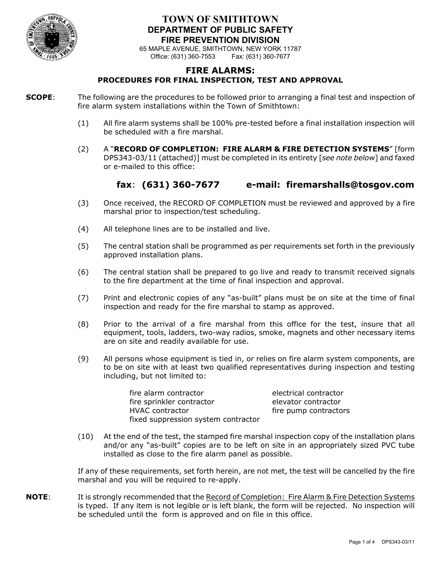

#### **TOWN OF SMITHTOWN DEPARTMENT OF PUBLIC SAFETY FIRE PREVENTION DIVISION**

65 MAPLE AVENUE, SMITHTOWN, NEW YORK 11787 Office: (631) 360-7553

#### **FIRE ALARMS: PROCEDURES FOR FINAL INSPECTION, TEST AND APPROVAL**

**SCOPE**: The following are the procedures to be followed prior to arranging a final test and inspection of fire alarm system installations within the Town of Smithtown:

- (1) All fire alarm systems shall be 100% pre-tested before a final installation inspection will be scheduled with a fire marshal.
- (2) A "**RECORD OF COMPLETION: FIRE ALARM & FIRE DETECTION SYSTEMS**" [form DPS343-03/11 (attached)] must be completed in its entirety [*see note below*] and faxed or e-mailed to this office:

## **fax**: **(631) 360-7677 e-mail: firemarshalls@tosgov.com**

- (3) Once received, the RECORD OF COMPLETION must be reviewed and approved by a fire marshal prior to inspection/test scheduling.
- (4) All telephone lines are to be installed and live.
- (5) The central station shall be programmed as per requirements set forth in the previously approved installation plans.
- (6) The central station shall be prepared to go live and ready to transmit received signals to the fire department at the time of final inspection and approval.
- (7) Print and electronic copies of any "as-built" plans must be on site at the time of final inspection and ready for the fire marshal to stamp as approved.
- (8) Prior to the arrival of a fire marshal from this office for the test, insure that all equipment, tools, ladders, two-way radios, smoke, magnets and other necessary items are on site and readily available for use.
- (9) All persons whose equipment is tied in, or relies on fire alarm system components, are to be on site with at least two qualified representatives during inspection and testing including, but not limited to:

fire alarm contractor electrical contractor fire sprinkler contractor elevator contractor HVAC contractor **fire pump contractors** fixed suppression system contractor

(10) At the end of the test, the stamped fire marshal inspection copy of the installation plans and/or any "as-built" copies are to be left on site in an appropriately sized PVC tube installed as close to the fire alarm panel as possible.

If any of these requirements, set forth herein, are not met, the test will be cancelled by the fire marshal and you will be required to re-apply.

**NOTE:** It is strongly recommended that the Record of Completion: Fire Alarm & Fire Detection Systems is typed. If any item is not legible or is left blank, the form will be rejected. No inspection will be scheduled until the form is approved and on file in this office.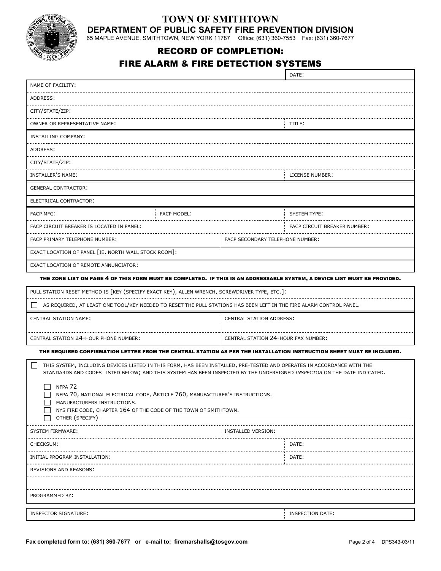

#### **TOWN OF SMITHTOWN DEPARTMENT OF PUBLIC SAFETY FIRE PREVENTION DIVISION**

65 MAPLE AVENUE, SMITHTOWN, NEW YORK 11787 Office: (631) 360-7553 Fax: (631) 360-7677

# RECORD OF COMPLETION:

#### FIRE ALARM & FIRE DETECTION SYSTEMS

|                                                                                                                                                                                                                                                    |                    |                                     | DATE:                                                                                                                 |  |  |  |
|----------------------------------------------------------------------------------------------------------------------------------------------------------------------------------------------------------------------------------------------------|--------------------|-------------------------------------|-----------------------------------------------------------------------------------------------------------------------|--|--|--|
| NAME OF FACILITY:                                                                                                                                                                                                                                  |                    |                                     |                                                                                                                       |  |  |  |
| ADDRESS:                                                                                                                                                                                                                                           |                    |                                     |                                                                                                                       |  |  |  |
| CITY/STATE/ZIP:                                                                                                                                                                                                                                    |                    |                                     |                                                                                                                       |  |  |  |
| OWNER OR REPRESENTATIVE NAME:                                                                                                                                                                                                                      |                    |                                     | TITLE:                                                                                                                |  |  |  |
| INSTALLING COMPANY:                                                                                                                                                                                                                                |                    |                                     |                                                                                                                       |  |  |  |
| <br>ADDRESS:                                                                                                                                                                                                                                       |                    |                                     |                                                                                                                       |  |  |  |
| CITY/STATE/ZIP:                                                                                                                                                                                                                                    |                    |                                     |                                                                                                                       |  |  |  |
| INSTALLER'S NAME:                                                                                                                                                                                                                                  |                    |                                     | LICENSE NUMBER:                                                                                                       |  |  |  |
| <b>GENERAL CONTRACTOR:</b>                                                                                                                                                                                                                         |                    |                                     |                                                                                                                       |  |  |  |
| ELECTRICAL CONTRACTOR:                                                                                                                                                                                                                             |                    |                                     |                                                                                                                       |  |  |  |
| <b>FACP MFG:</b>                                                                                                                                                                                                                                   | <b>FACP MODEL:</b> |                                     | <b>SYSTEM TYPE:</b>                                                                                                   |  |  |  |
| FACP CIRCUIT BREAKER IS LOCATED IN PANEL:                                                                                                                                                                                                          |                    |                                     | FACP CIRCUIT BREAKER NUMBER:                                                                                          |  |  |  |
| FACP PRIMARY TELEPHONE NUMBER:                                                                                                                                                                                                                     |                    | FACP SECONDARY TELEPHONE NUMBER:    |                                                                                                                       |  |  |  |
| EXACT LOCATION OF PANEL [IE. NORTH WALL STOCK ROOM]:                                                                                                                                                                                               |                    |                                     |                                                                                                                       |  |  |  |
| EXACT LOCATION OF REMOTE ANNUNCIATOR:                                                                                                                                                                                                              |                    |                                     |                                                                                                                       |  |  |  |
| THE ZONE LIST ON PAGE 4 OF THIS FORM MUST BE COMPLETED. IF THIS IS AN ADDRESSABLE SYSTEM, A DEVICE LIST MUST BE PROVIDED.                                                                                                                          |                    |                                     |                                                                                                                       |  |  |  |
| PULL STATION RESET METHOD IS [KEY (SPECIFY EXACT KEY), ALLEN WRENCH, SCREWDRIVER TYPE, ETC.]:                                                                                                                                                      |                    |                                     |                                                                                                                       |  |  |  |
| AS REQUIRED, AT LEAST ONE TOOL/KEY NEEDED TO RESET THE PULL STATIONS HAS BEEN LEFT IN THE FIRE ALARM CONTROL PANEL.                                                                                                                                |                    |                                     |                                                                                                                       |  |  |  |
| <b>CENTRAL STATION NAME:</b>                                                                                                                                                                                                                       |                    | <b>CENTRAL STATION ADDRESS:</b>     |                                                                                                                       |  |  |  |
| CENTRAL STATION 24-HOUR PHONE NUMBER:                                                                                                                                                                                                              |                    | CENTRAL STATION 24-HOUR FAX NUMBER: |                                                                                                                       |  |  |  |
|                                                                                                                                                                                                                                                    |                    |                                     | THE REQUIRED CONFIRMATION LETTER FROM THE CENTRAL STATION AS PER THE INSTALLATION INSTRUCTION SHEET MUST BE INCLUDED. |  |  |  |
|                                                                                                                                                                                                                                                    |                    |                                     |                                                                                                                       |  |  |  |
| THIS SYSTEM, INCLUDING DEVICES LISTED IN THIS FORM, HAS BEEN INSTALLED, PRE-TESTED AND OPERATES IN ACCORDANCE WITH THE<br>STANDARDS AND CODES LISTED BELOW; AND THIS SYSTEM HAS BEEN INSPECTED BY THE UNDERSIGNED INSPECTOR ON THE DATE INDICATED. |                    |                                     |                                                                                                                       |  |  |  |
| NFPA <sub>72</sub>                                                                                                                                                                                                                                 |                    |                                     |                                                                                                                       |  |  |  |
| NFPA 70, NATIONAL ELECTRICAL CODE, ARTICLE 760, MANUFACTURER'S INSTRUCTIONS.<br>MANUFACTURERS INSTRUCTIONS.                                                                                                                                        |                    |                                     |                                                                                                                       |  |  |  |
| NYS FIRE CODE, CHAPTER 164 OF THE CODE OF THE TOWN OF SMITHTOWN.<br>OTHER (SPECIFY)                                                                                                                                                                |                    |                                     |                                                                                                                       |  |  |  |
| <b>SYSTEM FIRMWARE:</b>                                                                                                                                                                                                                            |                    | INSTALLED VERSION:                  |                                                                                                                       |  |  |  |
| <b>CHECKSUM:</b>                                                                                                                                                                                                                                   |                    |                                     | DATE:                                                                                                                 |  |  |  |
| <br>INITIAL PROGRAM INSTALLATION:                                                                                                                                                                                                                  |                    |                                     | DATE:                                                                                                                 |  |  |  |
| REVISIONS AND REASONS:                                                                                                                                                                                                                             |                    |                                     |                                                                                                                       |  |  |  |
|                                                                                                                                                                                                                                                    |                    |                                     |                                                                                                                       |  |  |  |
| PROGRAMMED BY:                                                                                                                                                                                                                                     |                    |                                     |                                                                                                                       |  |  |  |
|                                                                                                                                                                                                                                                    |                    |                                     |                                                                                                                       |  |  |  |
| <b>INSPECTOR SIGNATURE:</b>                                                                                                                                                                                                                        |                    |                                     | INSPECTION DATE:                                                                                                      |  |  |  |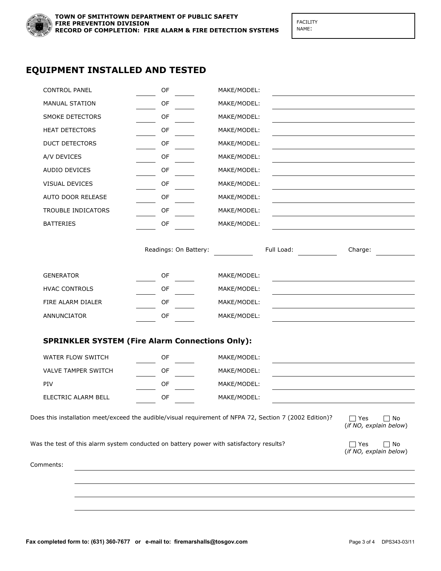

FACILITY NAME:

### **EQUIPMENT INSTALLED AND TESTED**

| <b>CONTROL PANEL</b>                                                                    | OF                    | MAKE/MODEL:                                                                                             |                                                      |
|-----------------------------------------------------------------------------------------|-----------------------|---------------------------------------------------------------------------------------------------------|------------------------------------------------------|
| MANUAL STATION                                                                          | OF                    | MAKE/MODEL:                                                                                             |                                                      |
| SMOKE DETECTORS                                                                         | OF                    | MAKE/MODEL:                                                                                             |                                                      |
| <b>HEAT DETECTORS</b>                                                                   | OF                    | MAKE/MODEL:                                                                                             |                                                      |
| <b>DUCT DETECTORS</b>                                                                   | OF                    | MAKE/MODEL:                                                                                             |                                                      |
| A/V DEVICES                                                                             | OF                    | MAKE/MODEL:                                                                                             |                                                      |
| AUDIO DEVICES                                                                           | OF                    | MAKE/MODEL:                                                                                             |                                                      |
| VISUAL DEVICES                                                                          | OF                    | MAKE/MODEL:                                                                                             |                                                      |
| AUTO DOOR RELEASE                                                                       | OF                    | MAKE/MODEL:                                                                                             |                                                      |
| TROUBLE INDICATORS                                                                      | OF                    | MAKE/MODEL:                                                                                             |                                                      |
| <b>BATTERIES</b>                                                                        | OF                    | MAKE/MODEL:                                                                                             |                                                      |
|                                                                                         |                       |                                                                                                         |                                                      |
|                                                                                         | Readings: On Battery: | Full Load:                                                                                              | Charge:                                              |
|                                                                                         |                       |                                                                                                         |                                                      |
| <b>GENERATOR</b>                                                                        | OF                    | MAKE/MODEL:                                                                                             |                                                      |
| <b>HVAC CONTROLS</b>                                                                    | OF                    | MAKE/MODEL:                                                                                             |                                                      |
| FIRE ALARM DIALER                                                                       | OF                    | MAKE/MODEL:                                                                                             |                                                      |
| ANNUNCIATOR                                                                             | OF                    | MAKE/MODEL:                                                                                             |                                                      |
|                                                                                         |                       |                                                                                                         |                                                      |
| <b>SPRINKLER SYSTEM (Fire Alarm Connections Only):</b>                                  |                       |                                                                                                         |                                                      |
| WATER FLOW SWITCH                                                                       | OF                    | MAKE/MODEL:                                                                                             |                                                      |
| <b>VALVE TAMPER SWITCH</b>                                                              | OF                    | MAKE/MODEL:                                                                                             |                                                      |
| PIV                                                                                     | OF                    | MAKE/MODEL:                                                                                             |                                                      |
| ELECTRIC ALARM BELL                                                                     | OF                    | MAKE/MODEL:                                                                                             |                                                      |
|                                                                                         |                       | Does this installation meet/exceed the audible/visual requirement of NFPA 72, Section 7 (2002 Edition)? | $\Box$ Yes<br>$\square$ No<br>(if NO, explain below) |
| Was the test of this alarm system conducted on battery power with satisfactory results? |                       |                                                                                                         | $\Box$ Yes<br>$\Box$ No<br>(if NO, explain below)    |
| Comments:                                                                               |                       |                                                                                                         |                                                      |
|                                                                                         |                       |                                                                                                         |                                                      |
|                                                                                         |                       |                                                                                                         |                                                      |
|                                                                                         |                       |                                                                                                         |                                                      |